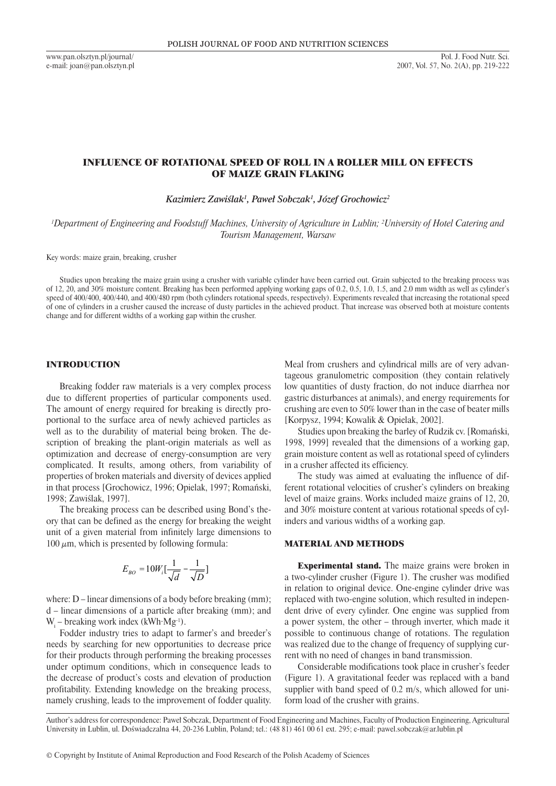www.pan.olsztyn.pl/journal/ e-mail: joan@pan.olsztyn.pl

# INFLUENCE OF ROTATIONAL SPEED OF ROLL IN A ROLLER MILL ON EFFECTS OF MAIZE GRAIN FLAKING

*Kazimierz Zawiślak<sup>1</sup> , Paweł Sobczak<sup>1</sup> , Józef Grochowicz<sup>2</sup>*

*1 Department of Engineering and Foodstuff Machines, University of Agriculture in Lublin; 2 University of Hotel Catering and Tourism Management, Warsaw*

Key words: maize grain, breaking, crusher

Studies upon breaking the maize grain using a crusher with variable cylinder have been carried out. Grain subjected to the breaking process was of 12, 20, and 30% moisture content. Breaking has been performed applying working gaps of 0.2, 0.5, 1.0, 1.5, and 2.0 mm width as well as cylinder's speed of 400/400, 400/440, and 400/480 rpm (both cylinders rotational speeds, respectively). Experiments revealed that increasing the rotational speed of one of cylinders in a crusher caused the increase of dusty particles in the achieved product. That increase was observed both at moisture contents change and for different widths of a working gap within the crusher.

## INTRODUCTION

Breaking fodder raw materials is a very complex process due to different properties of particular components used. The amount of energy required for breaking is directly proportional to the surface area of newly achieved particles as well as to the durability of material being broken. The description of breaking the plant-origin materials as well as optimization and decrease of energy-consumption are very complicated. It results, among others, from variability of properties of broken materials and diversity of devices applied in that process [Grochowicz, 1996; Opielak, 1997; Romański, 1998; Zawiślak, 1997].

The breaking process can be described using Bond's theory that can be defined as the energy for breaking the weight unit of a given material from infinitely large dimensions to 100  $\mu$ m, which is presented by following formula:

$$
E_{BO} = 10W_i\left[\frac{1}{\sqrt{d}} - \frac{1}{\sqrt{D}}\right]
$$

where: D – linear dimensions of a body before breaking (mm); d – linear dimensions of a particle after breaking (mm); and  $W_i$  – breaking work index (kWh $\cdot$ Mg<sup>-1</sup>).

Fodder industry tries to adapt to farmer's and breeder's needs by searching for new opportunities to decrease price for their products through performing the breaking processes under optimum conditions, which in consequence leads to the decrease of product's costs and elevation of production profitability. Extending knowledge on the breaking process, namely crushing, leads to the improvement of fodder quality.

Meal from crushers and cylindrical mills are of very advantageous granulometric composition (they contain relatively low quantities of dusty fraction, do not induce diarrhea nor gastric disturbances at animals), and energy requirements for crushing are even to 50% lower than in the case of beater mills [Korpysz, 1994; Kowalik & Opielak, 2002].

Studies upon breaking the barley of Rudzik cv. [Romański, 1998, 1999] revealed that the dimensions of a working gap, grain moisture content as well as rotational speed of cylinders in a crusher affected its efficiency.

The study was aimed at evaluating the influence of different rotational velocities of crusher's cylinders on breaking level of maize grains. Works included maize grains of 12, 20, and 30% moisture content at various rotational speeds of cylinders and various widths of a working gap.

### MATERIAL AND METHODS

Experimental stand. The maize grains were broken in a two-cylinder crusher (Figure 1). The crusher was modified in relation to original device. One-engine cylinder drive was replaced with two-engine solution, which resulted in independent drive of every cylinder. One engine was supplied from a power system, the other – through inverter, which made it possible to continuous change of rotations. The regulation was realized due to the change of frequency of supplying current with no need of changes in band transmission.

Considerable modifications took place in crusher's feeder (Figure 1). A gravitational feeder was replaced with a band supplier with band speed of 0.2 m/s, which allowed for uniform load of the crusher with grains.

Author's address for correspondence: Paweł Sobczak, Department of Food Engineering and Machines, Faculty of Production Engineering, Agricultural University in Lublin, ul. Doświadczalna 44, 20-236 Lublin, Poland; tel.: (48 81) 461 00 61 ext. 295; e-mail: pawel.sobczak@ar.lublin.pl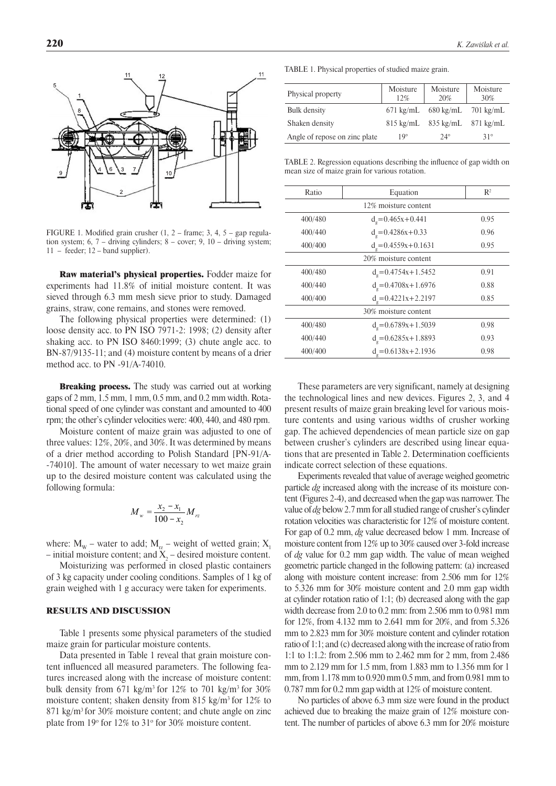

FIGURE 1. Modified grain crusher  $(1, 2 - \text{frame}; 3, 4, 5 - \text{gap regular-}$ tion system;  $6, 7$  – driving cylinders;  $8$  – cover;  $9, 10$  – driving system; 11 – feeder; 12 – band supplier).

Raw material's physical properties. Fodder maize for experiments had 11.8% of initial moisture content. It was sieved through 6.3 mm mesh sieve prior to study. Damaged grains, straw, cone remains, and stones were removed.

The following physical properties were determined: (1) loose density acc. to PN ISO 7971-2: 1998; (2) density after shaking acc. to PN ISO 8460:1999; (3) chute angle acc. to BN-87/9135-11; and (4) moisture content by means of a drier method acc. to PN -91/A-74010.

**Breaking process.** The study was carried out at working gaps of 2 mm, 1.5 mm, 1 mm, 0.5 mm, and 0.2 mm width. Rotational speed of one cylinder was constant and amounted to 400 rpm; the other's cylinder velocities were: 400, 440, and 480 rpm.

Moisture content of maize grain was adjusted to one of three values: 12%, 20%, and 30%. It was determined by means of a drier method according to Polish Standard [PN-91/A- -74010]. The amount of water necessary to wet maize grain up to the desired moisture content was calculated using the following formula:

$$
M_{w} = \frac{x_2 - x_1}{100 - x_2} M_{rz}
$$

where:  $M_w$  – water to add;  $M_{rz}$  – weight of wetted grain;  $X_1$ – initial moisture content; and  $X_2$  – desired moisture content.

Moisturizing was performed in closed plastic containers of 3 kg capacity under cooling conditions. Samples of 1 kg of grain weighed with 1 g accuracy were taken for experiments.

## RESULTS AND DISCUSSION

Table 1 presents some physical parameters of the studied maize grain for particular moisture contents.

Data presented in Table 1 reveal that grain moisture content influenced all measured parameters. The following features increased along with the increase of moisture content: bulk density from 671 kg/m<sup>3</sup> for 12% to 701 kg/m<sup>3</sup> for 30% moisture content; shaken density from 815 kg/m3 for 12% to 871 kg/m<sup>3</sup> for 30% moisture content; and chute angle on zinc plate from 19° for 12% to 31° for 30% moisture content.

Table 1. Physical properties of studied maize grain.

| Physical property             | Moisture<br>12%     | Moisture<br>20%               | Moisture<br>30%     |
|-------------------------------|---------------------|-------------------------------|---------------------|
| Bulk density                  | $671 \text{ kg/mL}$ | 680 kg/mL                     | $701 \text{ kg/mL}$ |
| Shaken density                |                     | $815 \text{ kg/mL}$ 835 kg/mL | $871 \text{ kg/mL}$ |
| Angle of repose on zinc plate | $19^{\circ}$        | $24^{\circ}$                  | $31^\circ$          |

Table 2. Regression equations describing the influence of gap width on mean size of maize grain for various rotation.

| Ratio                | Equation                 | $\mathbb{R}^2$ |
|----------------------|--------------------------|----------------|
|                      | 12% moisture content     |                |
| 400/480              | $d_e = 0.465x + 0.441$   | 0.95           |
| 400/440              | $d_e = 0.4286x + 0.33$   | 0.96           |
| 400/400              | $d_e = 0.4559x + 0.1631$ | 0.95           |
| 20% moisture content |                          |                |
| 400/480              | $d_e = 0.4754x + 1.5452$ | 0.91           |
| 400/440              | $d_e = 0.4708x + 1.6976$ | 0.88           |
| 400/400              | $d_e = 0.4221x + 2.2197$ | 0.85           |
| 30% moisture content |                          |                |
| 400/480              | $d_e = 0.6789x + 1.5039$ | 0.98           |
| 400/440              | $d_e = 0.6285x + 1.8893$ | 0.93           |
| 400/400              | $d_e = 0.6138x + 2.1936$ | 0.98           |

These parameters are very significant, namely at designing the technological lines and new devices. Figures 2, 3, and 4 present results of maize grain breaking level for various moisture contents and using various widths of crusher working gap. The achieved dependencies of mean particle size on gap between crusher's cylinders are described using linear equations that are presented in Table 2. Determination coefficients indicate correct selection of these equations.

Experiments revealed that value of average weighed geometric particle *dg* increased along with the increase of its moisture content (Figures 2-4), and decreased when the gap was narrower. The value of *dg* below 2.7 mm for all studied range of crusher's cylinder rotation velocities was characteristic for 12% of moisture content. For gap of 0.2 mm, *dg* value decreased below 1 mm. Increase of moisture content from 12% up to 30% caused over 3-fold increase of *dg* value for 0.2 mm gap width. The value of mean weighed geometric particle changed in the following pattern: (a) increased along with moisture content increase: from 2.506 mm for 12% to 5.326 mm for 30% moisture content and 2.0 mm gap width at cylinder rotation ratio of 1:1; (b) decreased along with the gap width decrease from 2.0 to 0.2 mm: from 2.506 mm to 0.981 mm for 12%, from 4.132 mm to 2.641 mm for 20%, and from 5.326 mm to 2.823 mm for 30% moisture content and cylinder rotation ratio of 1:1; and (c) decreased along with the increase of ratio from 1:1 to 1:1.2: from 2.506 mm to 2.462 mm for 2 mm, from 2.486 mm to 2.129 mm for 1.5 mm, from 1.883 mm to 1.356 mm for 1 mm, from 1.178 mm to 0.920 mm 0.5 mm, and from 0.981 mm to 0.787 mm for 0.2 mm gap width at 12% of moisture content.

No particles of above 6.3 mm size were found in the product achieved due to breaking the maize grain of 12% moisture content. The number of particles of above 6.3 mm for 20% moisture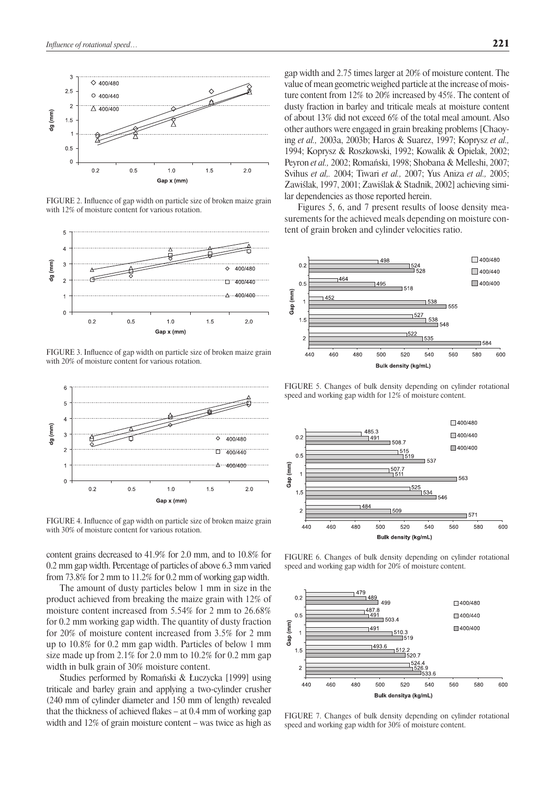

FIGURE 2. Influence of gap width on particle size of broken maize grain with 12% of moisture content for various rotation.



FIGURE 3. Influence of gap width on particle size of broken maize grain with 20% of moisture content for various rotation.



FIGURE 4. Influence of gap width on particle size of broken maize grain with 30% of moisture content for various rotation.

content grains decreased to 41.9% for 2.0 mm, and to 10.8% for 0.2 mm gap width. Percentage of particles of above 6.3 mm varied from 73.8% for 2 mm to 11.2% for 0.2 mm of working gap width.

The amount of dusty particles below 1 mm in size in the product achieved from breaking the maize grain with 12% of moisture content increased from 5.54% for 2 mm to 26.68% for 0.2 mm working gap width. The quantity of dusty fraction for 20% of moisture content increased from 3.5% for 2 mm up to 10.8% for 0.2 mm gap width. Particles of below 1 mm size made up from 2.1% for 2.0 mm to 10.2% for 0.2 mm gap width in bulk grain of 30% moisture content.

Studies performed by Romański & Łuczycka [1999] using triticale and barley grain and applying a two-cylinder crusher (240 mm of cylinder diameter and 150 mm of length) revealed that the thickness of achieved flakes – at 0.4 mm of working gap width and 12% of grain moisture content – was twice as high as gap width and 2.75 times larger at 20% of moisture content. The value of mean geometric weighed particle at the increase of moisture content from 12% to 20% increased by 45%. The content of dusty fraction in barley and triticale meals at moisture content of about 13% did not exceed 6% of the total meal amount. Also other authors were engaged in grain breaking problems [Chaoying *et al.,* 2003a, 2003b; Haros & Suarez, 1997; Koprysz *et al.,* 1994; Koprysz & Roszkowski, 1992; Kowalik & Opielak, 2002; Peyron *et al.,* 2002; Romański, 1998; Shobana & Melleshi, 2007; Svihus *et al,.* 2004; Tiwari *et al.,* 2007; Yus Aniza *et al.,* 2005; Zawiślak, 1997, 2001; Zawiślak & Stadnik, 2002] achieving similar dependencies as those reported herein.

Figures 5, 6, and 7 present results of loose density measurements for the achieved meals depending on moisture content of grain broken and cylinder velocities ratio.



FIGURE 5. Changes of bulk density depending on cylinder rotational speed and working gap width for 12% of moisture content.



FIGURE 6. Changes of bulk density depending on cylinder rotational speed and working gap width for 20% of moisture content.



FIGURE 7. Changes of bulk density depending on cylinder rotational speed and working gap width for 30% of moisture content.